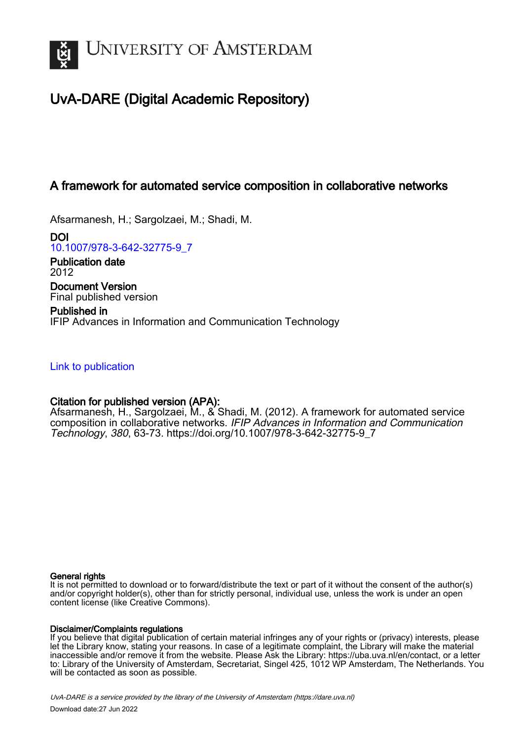

# UvA-DARE (Digital Academic Repository)

## A framework for automated service composition in collaborative networks

Afsarmanesh, H.; Sargolzaei, M.; Shadi, M.

DOI [10.1007/978-3-642-32775-9\\_7](https://doi.org/10.1007/978-3-642-32775-9_7)

Publication date 2012 Document Version

Final published version

Published in IFIP Advances in Information and Communication Technology

### [Link to publication](https://dare.uva.nl/personal/pure/en/publications/a-framework-for-automated-service-composition-in-collaborative-networks(739aecd5-d919-4167-81d3-8981326efc5a).html)

## Citation for published version (APA):

Afsarmanesh, H., Sargolzaei, M., & Shadi, M. (2012). A framework for automated service composition in collaborative networks. IFIP Advances in Information and Communication Technology, 380, 63-73. [https://doi.org/10.1007/978-3-642-32775-9\\_7](https://doi.org/10.1007/978-3-642-32775-9_7)

#### General rights

It is not permitted to download or to forward/distribute the text or part of it without the consent of the author(s) and/or copyright holder(s), other than for strictly personal, individual use, unless the work is under an open content license (like Creative Commons).

#### Disclaimer/Complaints regulations

If you believe that digital publication of certain material infringes any of your rights or (privacy) interests, please let the Library know, stating your reasons. In case of a legitimate complaint, the Library will make the material inaccessible and/or remove it from the website. Please Ask the Library: https://uba.uva.nl/en/contact, or a letter to: Library of the University of Amsterdam, Secretariat, Singel 425, 1012 WP Amsterdam, The Netherlands. You will be contacted as soon as possible.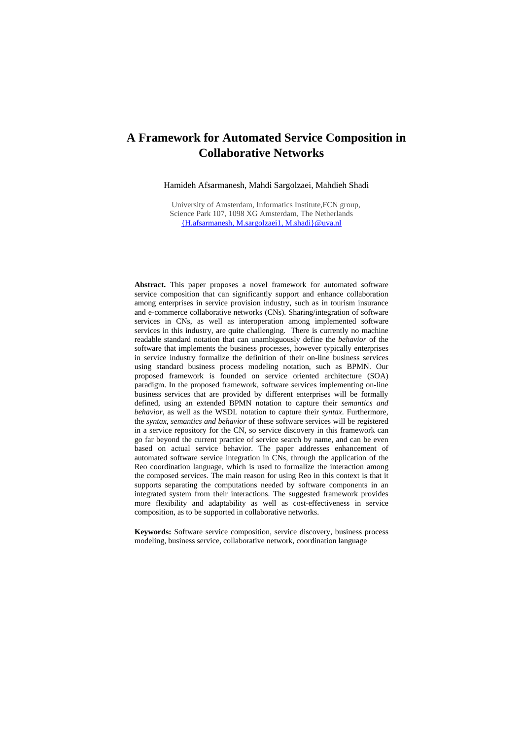## **A Framework for Automated Service Composition in Collaborative Networks**

Hamideh Afsarmanesh, Mahdi Sargolzaei, Mahdieh Shadi

University of Amsterdam, Informatics Institute,FCN group, Science Park 107, 1098 XG Amsterdam, The Netherlands {H.afsarmanesh, M.sargolzaei1, M.shadi}@uva.nl

**Abstract.** This paper proposes a novel framework for automated software service composition that can significantly support and enhance collaboration among enterprises in service provision industry, such as in tourism insurance and e-commerce collaborative networks (CNs). Sharing/integration of software services in CNs, as well as interoperation among implemented software services in this industry, are quite challenging. There is currently no machine readable standard notation that can unambiguously define the *behavior* of the software that implements the business processes, however typically enterprises in service industry formalize the definition of their on-line business services using standard business process modeling notation, such as BPMN. Our proposed framework is founded on service oriented architecture (SOA) paradigm. In the proposed framework, software services implementing on-line business services that are provided by different enterprises will be formally defined, using an extended BPMN notation to capture their *semantics and behavior*, as well as the WSDL notation to capture their *syntax*. Furthermore, the *syntax, semantics and behavior* of these software services will be registered in a service repository for the CN, so service discovery in this framework can go far beyond the current practice of service search by name, and can be even based on actual service behavior. The paper addresses enhancement of automated software service integration in CNs, through the application of the Reo coordination language, which is used to formalize the interaction among the composed services. The main reason for using Reo in this context is that it supports separating the computations needed by software components in an integrated system from their interactions. The suggested framework provides more flexibility and adaptability as well as cost-effectiveness in service composition, as to be supported in collaborative networks.

**Keywords:** Software service composition, service discovery, business process modeling, business service, collaborative network, coordination language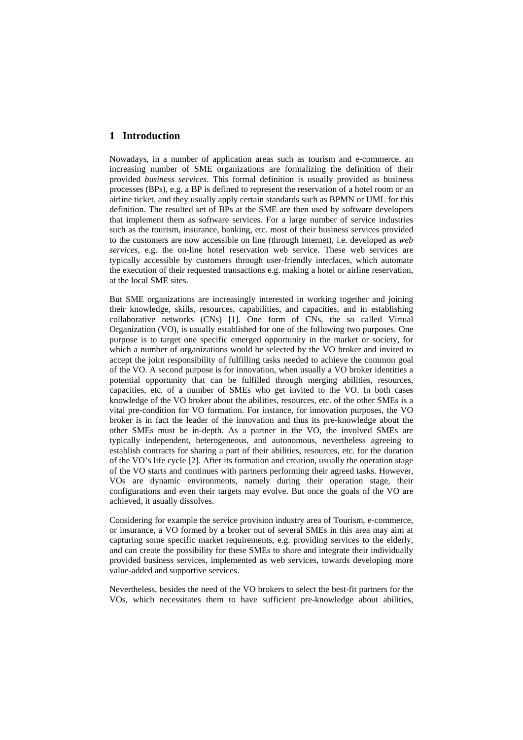#### **1 Introduction**

Nowadays, in a number of application areas such as tourism and e-commerce, an increasing number of SME organizations are formalizing the definition of their provided *business services*. This formal definition is usually provided as business processes (BPs), e.g. a BP is defined to represent the reservation of a hotel room or an airline ticket, and they usually apply certain standards such as BPMN or UML for this definition. The resulted set of BPs at the SME are then used by software developers that implement them as software services. For a large number of service industries such as the tourism, insurance, banking, etc. most of their business services provided to the customers are now accessible on line (through Internet), i.e. developed as *web services,* e.g. the on-line hotel reservation web service. These web services are typically accessible by customers through user-friendly interfaces, which automate the execution of their requested transactions e.g. making a hotel or airline reservation, at the local SME sites.

But SME organizations are increasingly interested in working together and joining their knowledge, skills, resources, capabilities, and capacities, and in establishing collaborative networks (CNs) [1]. One form of CNs, the so called Virtual Organization (VO), is usually established for one of the following two purposes. One purpose is to target one specific emerged opportunity in the market or society, for which a number of organizations would be selected by the VO broker and invited to accept the joint responsibility of fulfilling tasks needed to achieve the common goal of the VO. A second purpose is for innovation, when usually a VO broker identities a potential opportunity that can be fulfilled through merging abilities, resources, capacities, etc. of a number of SMEs who get invited to the VO. In both cases knowledge of the VO broker about the abilities, resources, etc. of the other SMEs is a vital pre-condition for VO formation. For instance, for innovation purposes, the VO broker is in fact the leader of the innovation and thus its pre-knowledge about the other SMEs must be in-depth. As a partner in the VO, the involved SMEs are typically independent, heterogeneous, and autonomous, nevertheless agreeing to establish contracts for sharing a part of their abilities, resources, etc. for the duration of the VO's life cycle [2]. After its formation and creation, usually the operation stage of the VO starts and continues with partners performing their agreed tasks. However, VOs are dynamic environments, namely during their operation stage, their configurations and even their targets may evolve. But once the goals of the VO are achieved, it usually dissolves.

Considering for example the service provision industry area of Tourism, e-commerce, or insurance, a VO formed by a broker out of several SMEs in this area may aim at capturing some specific market requirements, e.g. providing services to the elderly, and can create the possibility for these SMEs to share and integrate their individually provided business services, implemented as web services, towards developing more value-added and supportive services.

Nevertheless, besides the need of the VO brokers to select the best-fit partners for the VOs, which necessitates them to have sufficient pre-knowledge about abilities,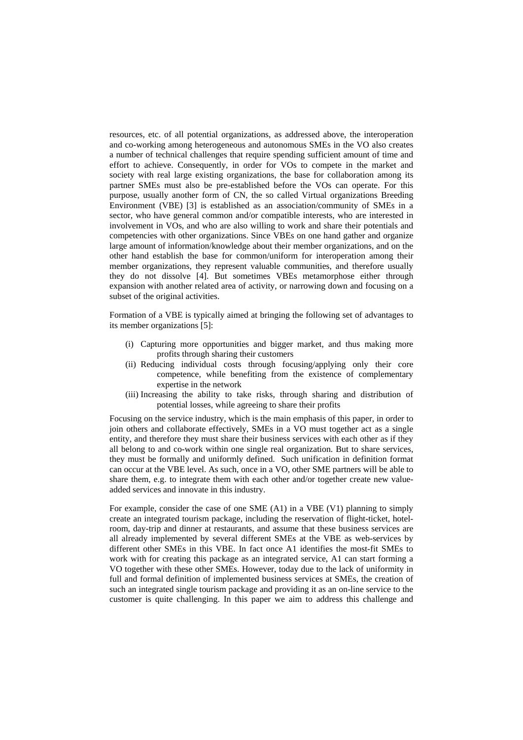resources, etc. of all potential organizations, as addressed above, the interoperation and co-working among heterogeneous and autonomous SMEs in the VO also creates a number of technical challenges that require spending sufficient amount of time and effort to achieve. Consequently, in order for VOs to compete in the market and society with real large existing organizations, the base for collaboration among its partner SMEs must also be pre-established before the VOs can operate. For this purpose, usually another form of CN, the so called Virtual organizations Breeding Environment (VBE) [3] is established as an association/community of SMEs in a sector, who have general common and/or compatible interests, who are interested in involvement in VOs, and who are also willing to work and share their potentials and competencies with other organizations. Since VBEs on one hand gather and organize large amount of information/knowledge about their member organizations, and on the other hand establish the base for common/uniform for interoperation among their member organizations, they represent valuable communities, and therefore usually they do not dissolve [4]. But sometimes VBEs metamorphose either through expansion with another related area of activity, or narrowing down and focusing on a subset of the original activities.

Formation of a VBE is typically aimed at bringing the following set of advantages to its member organizations [5]:

- (i) Capturing more opportunities and bigger market, and thus making more profits through sharing their customers
- (ii) Reducing individual costs through focusing/applying only their core competence, while benefiting from the existence of complementary expertise in the network
- (iii) Increasing the ability to take risks, through sharing and distribution of potential losses, while agreeing to share their profits

Focusing on the service industry, which is the main emphasis of this paper, in order to join others and collaborate effectively, SMEs in a VO must together act as a single entity, and therefore they must share their business services with each other as if they all belong to and co-work within one single real organization. But to share services, they must be formally and uniformly defined. Such unification in definition format can occur at the VBE level. As such, once in a VO, other SME partners will be able to share them, e.g. to integrate them with each other and/or together create new valueadded services and innovate in this industry.

For example, consider the case of one SME (A1) in a VBE (V1) planning to simply create an integrated tourism package, including the reservation of flight-ticket, hotelroom, day-trip and dinner at restaurants, and assume that these business services are all already implemented by several different SMEs at the VBE as web-services by different other SMEs in this VBE. In fact once A1 identifies the most-fit SMEs to work with for creating this package as an integrated service, A1 can start forming a VO together with these other SMEs. However, today due to the lack of uniformity in full and formal definition of implemented business services at SMEs, the creation of such an integrated single tourism package and providing it as an on-line service to the customer is quite challenging. In this paper we aim to address this challenge and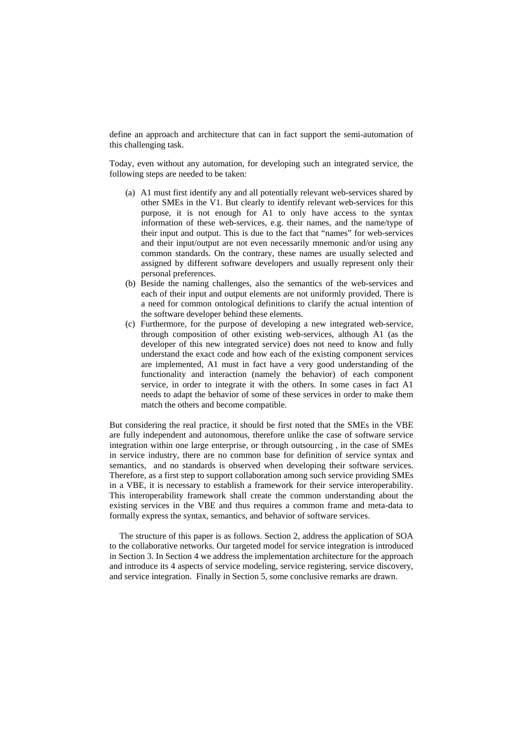define an approach and architecture that can in fact support the semi-automation of this challenging task.

Today, even without any automation, for developing such an integrated service, the following steps are needed to be taken:

- (a) A1 must first identify any and all potentially relevant web-services shared by other SMEs in the V1. But clearly to identify relevant web-services for this purpose, it is not enough for A1 to only have access to the syntax information of these web-services, e.g. their names, and the name/type of their input and output. This is due to the fact that "names" for web-services and their input/output are not even necessarily mnemonic and/or using any common standards. On the contrary, these names are usually selected and assigned by different software developers and usually represent only their personal preferences.
- (b) Beside the naming challenges, also the semantics of the web-services and each of their input and output elements are not uniformly provided. There is a need for common ontological definitions to clarify the actual intention of the software developer behind these elements.
- (c) Furthermore, for the purpose of developing a new integrated web-service, through composition of other existing web-services, although A1 (as the developer of this new integrated service) does not need to know and fully understand the exact code and how each of the existing component services are implemented, A1 must in fact have a very good understanding of the functionality and interaction (namely the behavior) of each component service, in order to integrate it with the others. In some cases in fact A1 needs to adapt the behavior of some of these services in order to make them match the others and become compatible.

But considering the real practice, it should be first noted that the SMEs in the VBE are fully independent and autonomous, therefore unlike the case of software service integration within one large enterprise, or through outsourcing , in the case of SMEs in service industry, there are no common base for definition of service syntax and semantics, and no standards is observed when developing their software services. Therefore, as a first step to support collaboration among such service providing SMEs in a VBE, it is necessary to establish a framework for their service interoperability. This interoperability framework shall create the common understanding about the existing services in the VBE and thus requires a common frame and meta-data to formally express the syntax, semantics, and behavior of software services.

The structure of this paper is as follows. Section 2, address the application of SOA to the collaborative networks. Our targeted model for service integration is introduced in Section 3. In Section 4 we address the implementation architecture for the approach and introduce its 4 aspects of service modeling, service registering, service discovery, and service integration. Finally in Section 5, some conclusive remarks are drawn.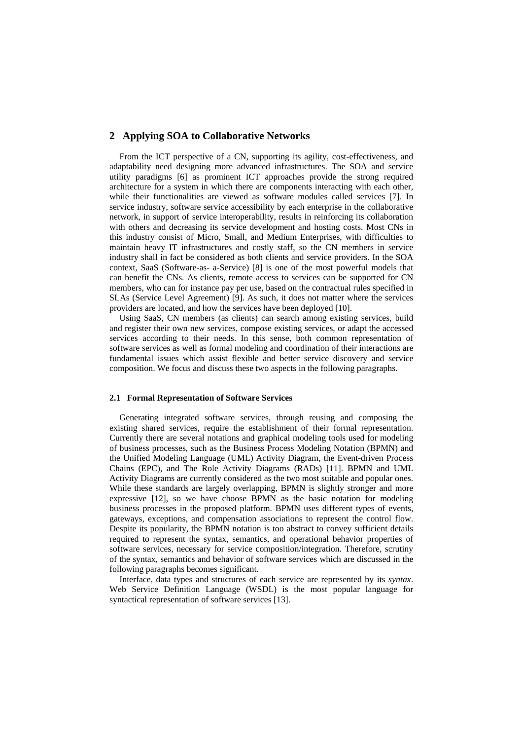#### **2 Applying SOA to Collaborative Networks**

From the ICT perspective of a CN, supporting its agility, cost-effectiveness, and adaptability need designing more advanced infrastructures. The SOA and service utility paradigms [6] as prominent ICT approaches provide the strong required architecture for a system in which there are components interacting with each other, while their functionalities are viewed as software modules called services [7]. In service industry, software service accessibility by each enterprise in the collaborative network, in support of service interoperability, results in reinforcing its collaboration with others and decreasing its service development and hosting costs. Most CNs in this industry consist of Micro, Small, and Medium Enterprises, with difficulties to maintain heavy IT infrastructures and costly staff, so the CN members in service industry shall in fact be considered as both clients and service providers. In the SOA context, SaaS (Software-as- a-Service) [8] is one of the most powerful models that can benefit the CNs. As clients, remote access to services can be supported for CN members, who can for instance pay per use, based on the contractual rules specified in SLAs (Service Level Agreement) [9]. As such, it does not matter where the services providers are located, and how the services have been deployed [10].

Using SaaS, CN members (as clients) can search among existing services, build and register their own new services, compose existing services, or adapt the accessed services according to their needs. In this sense, both common representation of software services as well as formal modeling and coordination of their interactions are fundamental issues which assist flexible and better service discovery and service composition. We focus and discuss these two aspects in the following paragraphs.

#### **2.1 Formal Representation of Software Services**

Generating integrated software services, through reusing and composing the existing shared services, require the establishment of their formal representation. Currently there are several notations and graphical modeling tools used for modeling of business processes, such as the Business Process Modeling Notation (BPMN) and the Unified Modeling Language (UML) Activity Diagram, the Event-driven Process Chains (EPC), and The Role Activity Diagrams (RADs) [11]. BPMN and UML Activity Diagrams are currently considered as the two most suitable and popular ones. While these standards are largely overlapping, BPMN is slightly stronger and more expressive [12], so we have choose BPMN as the basic notation for modeling business processes in the proposed platform. BPMN uses different types of events, gateways, exceptions, and compensation associations to represent the control flow. Despite its popularity, the BPMN notation is too abstract to convey sufficient details required to represent the syntax, semantics, and operational behavior properties of software services, necessary for service composition/integration. Therefore, scrutiny of the syntax, semantics and behavior of software services which are discussed in the following paragraphs becomes significant.

Interface, data types and structures of each service are represented by its *syntax*. Web Service Definition Language (WSDL) is the most popular language for syntactical representation of software services [13].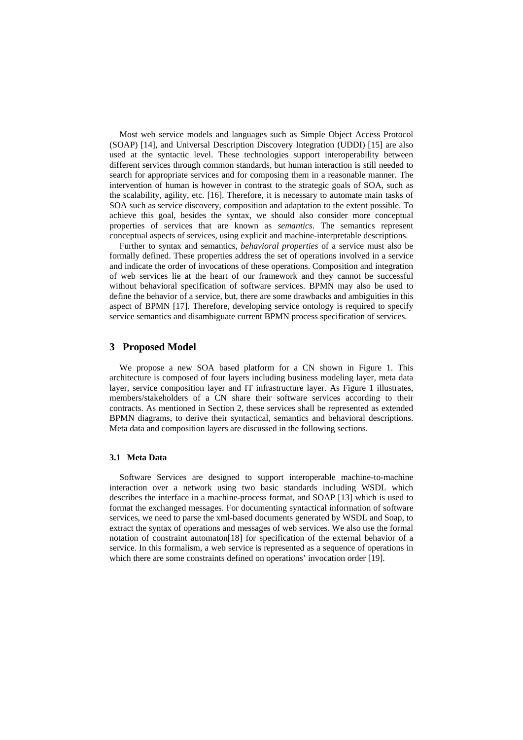Most web service models and languages such as Simple Object Access Protocol (SOAP) [14], and Universal Description Discovery Integration (UDDI) [15] are also used at the syntactic level. These technologies support interoperability between different services through common standards, but human interaction is still needed to search for appropriate services and for composing them in a reasonable manner. The intervention of human is however in contrast to the strategic goals of SOA, such as the scalability, agility, etc. [16]. Therefore, it is necessary to automate main tasks of SOA such as service discovery, composition and adaptation to the extent possible. To achieve this goal, besides the syntax, we should also consider more conceptual properties of services that are known as *semantics*. The semantics represent conceptual aspects of services, using explicit and machine-interpretable descriptions.

Further to syntax and semantics, *behavioral properties* of a service must also be formally defined. These properties address the set of operations involved in a service and indicate the order of invocations of these operations. Composition and integration of web services lie at the heart of our framework and they cannot be successful without behavioral specification of software services. BPMN may also be used to define the behavior of a service, but, there are some drawbacks and ambiguities in this aspect of BPMN [17]. Therefore, developing service ontology is required to specify service semantics and disambiguate current BPMN process specification of services.

#### **3 Proposed Model**

We propose a new SOA based platform for a CN shown in Figure 1. This architecture is composed of four layers including business modeling layer, meta data layer, service composition layer and IT infrastructure layer. As Figure 1 illustrates, members/stakeholders of a CN share their software services according to their contracts. As mentioned in Section 2, these services shall be represented as extended BPMN diagrams, to derive their syntactical, semantics and behavioral descriptions. Meta data and composition layers are discussed in the following sections.

#### **3.1 Meta Data**

Software Services are designed to support interoperable machine-to-machine interaction over a network using two basic standards including WSDL which describes the interface in a machine-process format, and SOAP [13] which is used to format the exchanged messages. For documenting syntactical information of software services, we need to parse the xml-based documents generated by WSDL and Soap, to extract the syntax of operations and messages of web services. We also use the formal notation of constraint automaton[18] for specification of the external behavior of a service. In this formalism, a web service is represented as a sequence of operations in which there are some constraints defined on operations' invocation order [19].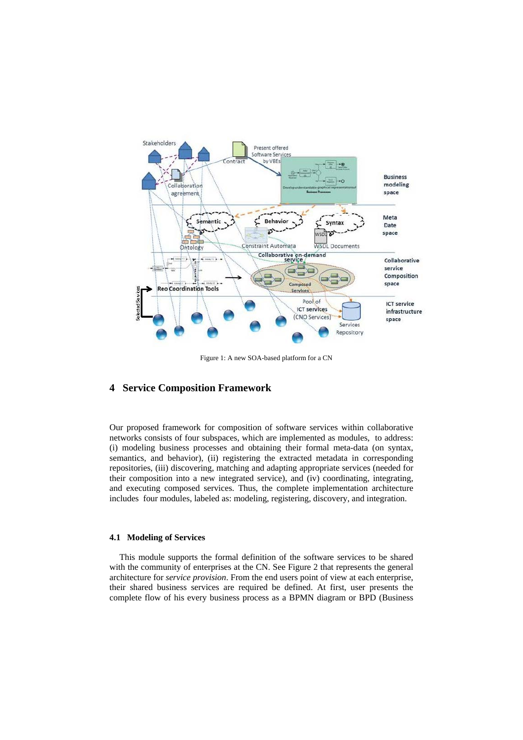

Figure 1: A new SOA-based platform for a CN

#### **4 Service Composition Framework**

Our proposed framework for composition of software services within collaborative networks consists of four subspaces, which are implemented as modules, to address: (i) modeling business processes and obtaining their formal meta-data (on syntax, semantics, and behavior), (ii) registering the extracted metadata in corresponding repositories, (iii) discovering, matching and adapting appropriate services (needed for their composition into a new integrated service), and (iv) coordinating, integrating, and executing composed services. Thus, the complete implementation architecture includes four modules, labeled as: modeling, registering, discovery, and integration.

#### **4.1 Modeling of Services**

This module supports the formal definition of the software services to be shared with the community of enterprises at the CN. See Figure 2 that represents the general architecture for *service provision*. From the end users point of view at each enterprise, their shared business services are required be defined. At first, user presents the complete flow of his every business process as a BPMN diagram or BPD (Business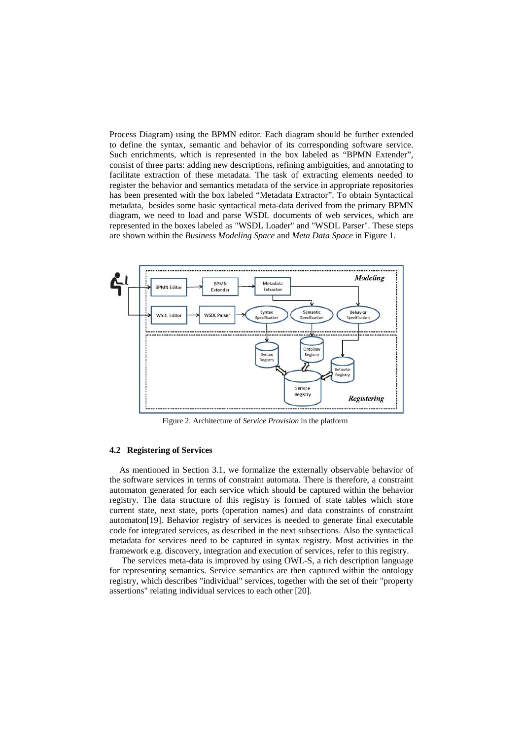Process Diagram) using the BPMN editor. Each diagram should be further extended to define the syntax, semantic and behavior of its corresponding software service. Such enrichments, which is represented in the box labeled as "BPMN Extender", consist of three parts: adding new descriptions, refining ambiguities, and annotating to facilitate extraction of these metadata. The task of extracting elements needed to register the behavior and semantics metadata of the service in appropriate repositories has been presented with the box labeled "Metadata Extractor". To obtain Syntactical metadata, besides some basic syntactical meta-data derived from the primary BPMN diagram, we need to load and parse WSDL documents of web services, which are represented in the boxes labeled as "WSDL Loader" and "WSDL Parser". These steps are shown within the *Business Modeling Space* and *Meta Data Space* in Figure 1.



Figure 2. Architecture of *Service Provision* in the platform

#### **4.2 Registering of Services**

As mentioned in Section 3.1, we formalize the externally observable behavior of the software services in terms of constraint automata. There is therefore, a constraint automaton generated for each service which should be captured within the behavior registry. The data structure of this registry is formed of state tables which store current state, next state, ports (operation names) and data constraints of constraint automaton[19]. Behavior registry of services is needed to generate final executable code for integrated services, as described in the next subsections. Also the syntactical metadata for services need to be captured in syntax registry. Most activities in the framework e.g. discovery, integration and execution of services, refer to this registry.

 The services meta-data is improved by using OWL-S, a rich description language for representing semantics. Service semantics are then captured within the ontology registry, which describes "individual" services, together with the set of their "property assertions" relating individual services to each other [20].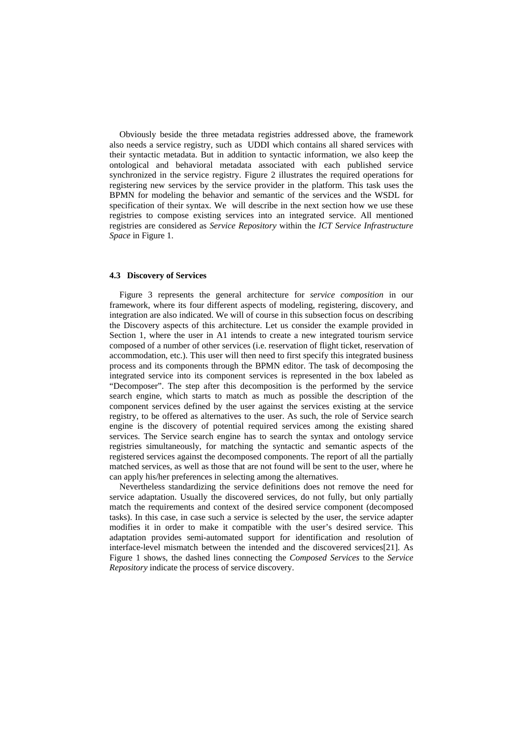Obviously beside the three metadata registries addressed above, the framework also needs a service registry, such as UDDI which contains all shared services with their syntactic metadata. But in addition to syntactic information, we also keep the ontological and behavioral metadata associated with each published service synchronized in the service registry. Figure 2 illustrates the required operations for registering new services by the service provider in the platform. This task uses the BPMN for modeling the behavior and semantic of the services and the WSDL for specification of their syntax. We will describe in the next section how we use these registries to compose existing services into an integrated service. All mentioned registries are considered as *Service Repository* within the *ICT Service Infrastructure Space* in Figure 1.

#### **4.3 Discovery of Services**

Figure 3 represents the general architecture for *service composition* in our framework, where its four different aspects of modeling, registering, discovery, and integration are also indicated. We will of course in this subsection focus on describing the Discovery aspects of this architecture. Let us consider the example provided in Section 1, where the user in A1 intends to create a new integrated tourism service composed of a number of other services (i.e. reservation of flight ticket, reservation of accommodation, etc.). This user will then need to first specify this integrated business process and its components through the BPMN editor. The task of decomposing the integrated service into its component services is represented in the box labeled as "Decomposer". The step after this decomposition is the performed by the service search engine, which starts to match as much as possible the description of the component services defined by the user against the services existing at the service registry, to be offered as alternatives to the user. As such, the role of Service search engine is the discovery of potential required services among the existing shared services. The Service search engine has to search the syntax and ontology service registries simultaneously, for matching the syntactic and semantic aspects of the registered services against the decomposed components. The report of all the partially matched services, as well as those that are not found will be sent to the user, where he can apply his/her preferences in selecting among the alternatives.

Nevertheless standardizing the service definitions does not remove the need for service adaptation. Usually the discovered services, do not fully, but only partially match the requirements and context of the desired service component (decomposed tasks). In this case, in case such a service is selected by the user, the service adapter modifies it in order to make it compatible with the user's desired service. This adaptation provides semi-automated support for identification and resolution of interface-level mismatch between the intended and the discovered services[21]. As Figure 1 shows, the dashed lines connecting the *Composed Services* to the *Service Repository* indicate the process of service discovery.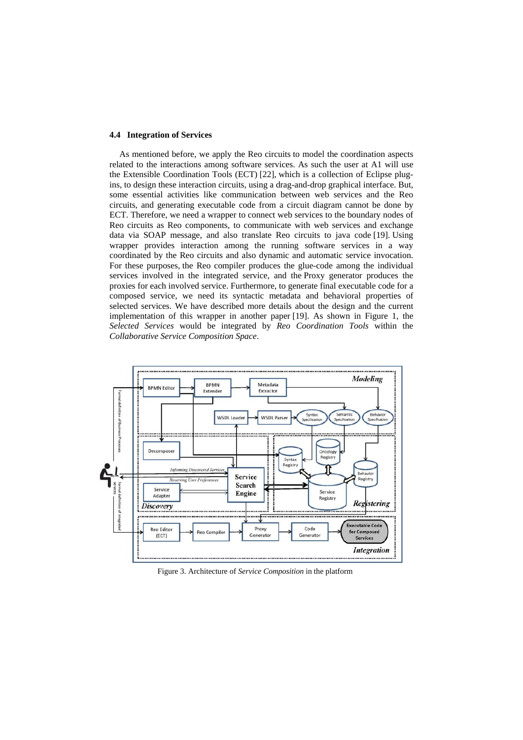#### **4.4 Integration of Services**

As mentioned before, we apply the Reo circuits to model the coordination aspects related to the interactions among software services. As such the user at A1 will use the Extensible Coordination Tools (ECT) [22], which is a collection of Eclipse plugins, to design these interaction circuits, using a drag-and-drop graphical interface. But, some essential activities like communication between web services and the Reo circuits, and generating executable code from a circuit diagram cannot be done by ECT. Therefore, we need a wrapper to connect web services to the boundary nodes of Reo circuits as Reo components, to communicate with web services and exchange data via SOAP message, and also translate Reo circuits to java code [19]. Using wrapper provides interaction among the running software services in a way coordinated by the Reo circuits and also dynamic and automatic service invocation. For these purposes, the Reo compiler produces the glue-code among the individual services involved in the integrated service, and the Proxy generator produces the proxies for each involved service. Furthermore, to generate final executable code for a composed service, we need its syntactic metadata and behavioral properties of selected services. We have described more details about the design and the current implementation of this wrapper in another paper [19]. As shown in Figure 1, the *Selected Services* would be integrated by *Reo Coordination Tools* within the *Collaborative Service Composition Space*.



Figure 3. Architecture of *Service Composition* in the platform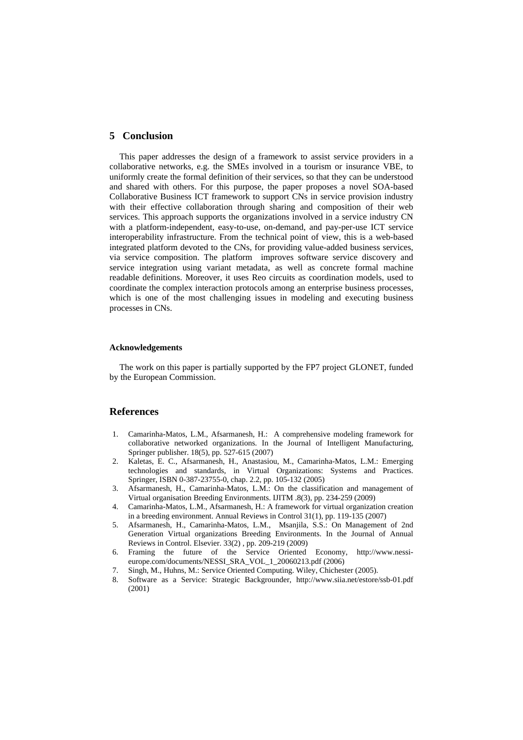#### **5 Conclusion**

This paper addresses the design of a framework to assist service providers in a collaborative networks, e.g. the SMEs involved in a tourism or insurance VBE, to uniformly create the formal definition of their services, so that they can be understood and shared with others. For this purpose, the paper proposes a novel SOA-based Collaborative Business ICT framework to support CNs in service provision industry with their effective collaboration through sharing and composition of their web services. This approach supports the organizations involved in a service industry CN with a platform-independent, easy-to-use, on-demand, and pay-per-use ICT service interoperability infrastructure. From the technical point of view, this is a web-based integrated platform devoted to the CNs, for providing value-added business services, via service composition. The platform improves software service discovery and service integration using variant metadata, as well as concrete formal machine readable definitions. Moreover, it uses Reo circuits as coordination models, used to coordinate the complex interaction protocols among an enterprise business processes, which is one of the most challenging issues in modeling and executing business processes in CNs.

#### **Acknowledgements**

The work on this paper is partially supported by the FP7 project GLONET, funded by the European Commission.

#### **References**

- 1. Camarinha-Matos, L.M., Afsarmanesh, H.: A comprehensive modeling framework for collaborative networked organizations. In the Journal of Intelligent Manufacturing, Springer publisher. 18(5), pp. 527-615 (2007)
- 2. Kaletas, E. C., Afsarmanesh, H., Anastasiou, M., Camarinha-Matos, L.M.: Emerging technologies and standards, in Virtual Organizations: Systems and Practices. Springer, ISBN 0-387-23755-0, chap. 2.2, pp. 105-132 (2005)
- 3. Afsarmanesh, H., Camarinha-Matos, L.M.: On the classification and management of Virtual organisation Breeding Environments. IJITM .8(3), pp. 234-259 (2009)
- 4. Camarinha-Matos, L.M., Afsarmanesh, H.: A framework for virtual organization creation in a breeding environment. Annual Reviews in Control 31(1), pp. 119-135 (2007)
- 5. Afsarmanesh, H., Camarinha-Matos, L.M., Msanjila, S.S.: On Management of 2nd Generation Virtual organizations Breeding Environments. In the Journal of Annual Reviews in Control. Elsevier. 33(2) , pp. 209-219 (2009)
- 6. Framing the future of the Service Oriented Economy, http://www.nessieurope.com/documents/NESSI\_SRA\_VOL\_1\_20060213.pdf (2006)
- 7. Singh, M., Huhns, M.: Service Oriented Computing. Wiley, Chichester (2005).
- 8. Software as a Service: Strategic Backgrounder, http://www.siia.net/estore/ssb-01.pdf (2001)